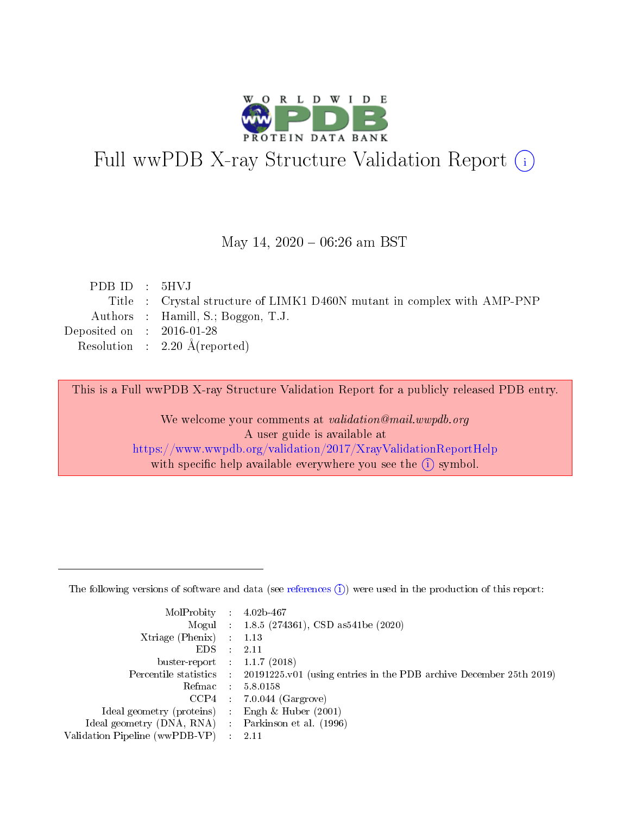

# Full wwPDB X-ray Structure Validation Report (i)

## May 14,  $2020 - 06:26$  am BST

| PDBID : 5HVI                |                                                                         |
|-----------------------------|-------------------------------------------------------------------------|
|                             | Title : Crystal structure of LIMK1 D460N mutant in complex with AMP-PNP |
|                             | Authors : Hamill, S.; Boggon, T.J.                                      |
| Deposited on : $2016-01-28$ |                                                                         |
|                             | Resolution : $2.20 \text{ Å}$ (reported)                                |
|                             |                                                                         |

This is a Full wwPDB X-ray Structure Validation Report for a publicly released PDB entry.

We welcome your comments at validation@mail.wwpdb.org A user guide is available at <https://www.wwpdb.org/validation/2017/XrayValidationReportHelp> with specific help available everywhere you see the  $(i)$  symbol.

The following versions of software and data (see [references](https://www.wwpdb.org/validation/2017/XrayValidationReportHelp#references)  $(1)$ ) were used in the production of this report:

| MolProbity :                   |               | $4.02b - 467$                                                               |
|--------------------------------|---------------|-----------------------------------------------------------------------------|
|                                |               | Mogul : $1.8.5$ (274361), CSD as 541be (2020)                               |
| $X$ triage (Phenix) :          |               | 1.13                                                                        |
| EDS.                           |               | 2.11                                                                        |
| buster-report : $1.1.7$ (2018) |               |                                                                             |
| Percentile statistics :        |               | $20191225 \text{v}01$ (using entries in the PDB archive December 25th 2019) |
| Refmac :                       |               | 5.8.0158                                                                    |
| $CCP4$ :                       |               | $7.0.044$ (Gargrove)                                                        |
| Ideal geometry (proteins) :    |               | Engh $\&$ Huber (2001)                                                      |
| Ideal geometry (DNA, RNA) :    |               | Parkinson et al. (1996)                                                     |
| Validation Pipeline (wwPDB-VP) | $\mathcal{L}$ | 2.11                                                                        |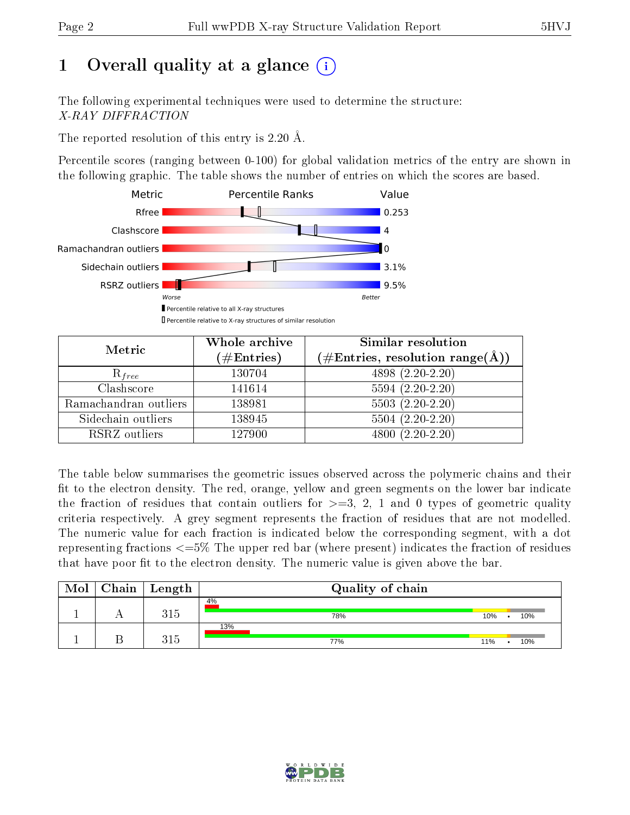# 1 [O](https://www.wwpdb.org/validation/2017/XrayValidationReportHelp#overall_quality)verall quality at a glance  $(i)$

The following experimental techniques were used to determine the structure: X-RAY DIFFRACTION

The reported resolution of this entry is 2.20 Å.

Percentile scores (ranging between 0-100) for global validation metrics of the entry are shown in the following graphic. The table shows the number of entries on which the scores are based.



| Metric                | Whole archive<br>$(\#\mathrm{Entries})$ | Similar resolution<br>$(\#\text{Entries}, \text{resolution range}(\text{\AA}))$ |  |  |
|-----------------------|-----------------------------------------|---------------------------------------------------------------------------------|--|--|
| $R_{free}$            | 130704                                  | 4898 (2.20-2.20)                                                                |  |  |
| Clashscore            | 141614                                  | $5594(2.20-2.20)$                                                               |  |  |
| Ramachandran outliers | 138981                                  | $\overline{5503}$ $(2.20-2.20)$                                                 |  |  |
| Sidechain outliers    | 138945                                  | $5504(2.20-2.20)$                                                               |  |  |
| RSRZ outliers         | 127900                                  | $4800(2.20-2.20)$                                                               |  |  |

The table below summarises the geometric issues observed across the polymeric chains and their fit to the electron density. The red, orange, yellow and green segments on the lower bar indicate the fraction of residues that contain outliers for  $>=3, 2, 1$  and 0 types of geometric quality criteria respectively. A grey segment represents the fraction of residues that are not modelled. The numeric value for each fraction is indicated below the corresponding segment, with a dot representing fractions <=5% The upper red bar (where present) indicates the fraction of residues that have poor fit to the electron density. The numeric value is given above the bar.

| Mol | ${\rm Chain \mid Length}$ | Quality of chain |     |     |
|-----|---------------------------|------------------|-----|-----|
|     | 315                       | 4%<br>78%        | 10% | 10% |
|     | 315                       | 13%<br>77%       | 11% | 10% |

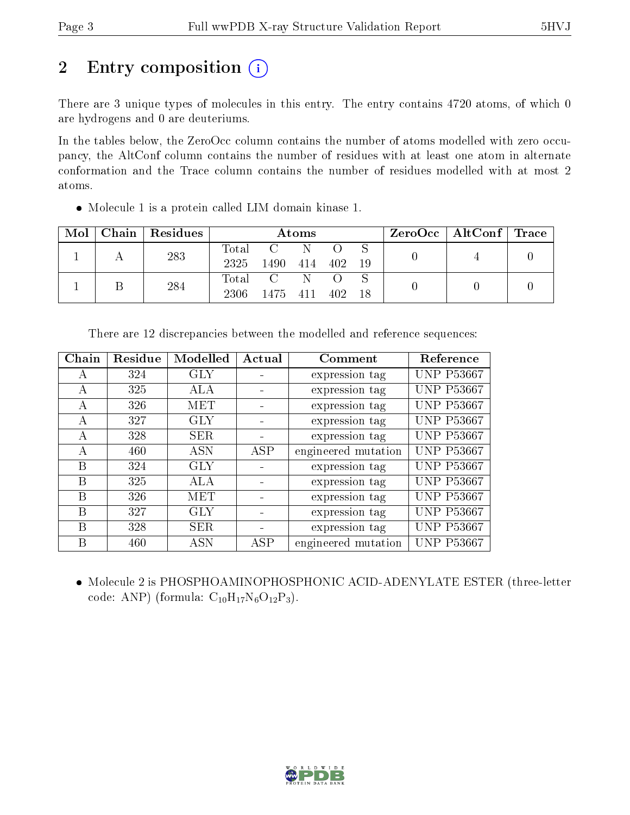# 2 Entry composition  $\left( \cdot \right)$

There are 3 unique types of molecules in this entry. The entry contains 4720 atoms, of which 0 are hydrogens and 0 are deuteriums.

In the tables below, the ZeroOcc column contains the number of atoms modelled with zero occupancy, the AltConf column contains the number of residues with at least one atom in alternate conformation and the Trace column contains the number of residues modelled with at most 2 atoms.

Molecule 1 is a protein called LIM domain kinase 1.

| Mol | Chain | Residues | Atoms         |      |      |     | $ZeroOcc \mid AltConf \mid Trace$ |  |  |
|-----|-------|----------|---------------|------|------|-----|-----------------------------------|--|--|
|     |       | 283      | Total<br>2325 | 1490 | 414  | 402 | 19                                |  |  |
|     |       | 284      | Total<br>2306 | 1475 | -411 | 402 |                                   |  |  |

| Chain | Residue | Modelled   | Actual | Comment             | Reference         |
|-------|---------|------------|--------|---------------------|-------------------|
| А     | 324     | GLY        |        | expression tag      | <b>UNP P53667</b> |
| A     | 325     | ALA        |        | expression tag      | <b>UNP P53667</b> |
| A     | 326     | MET        |        | expression tag      | <b>UNP P53667</b> |
| А     | 327     | <b>GLY</b> |        | expression tag      | <b>UNP P53667</b> |
| А     | 328     | <b>SER</b> |        | expression tag      | <b>UNP P53667</b> |
| А     | 460     | <b>ASN</b> | ASP    | engineered mutation | <b>UNP P53667</b> |
| В     | 324     | GLY        |        | expression tag      | <b>UNP P53667</b> |
| В     | 325     | ALA        |        | expression tag      | <b>UNP P53667</b> |
| В     | 326     | MET        |        | expression tag      | <b>UNP P53667</b> |
| В     | 327     | GLY        |        | expression tag      | <b>UNP P53667</b> |
| В     | 328     | SER        |        | expression tag      | <b>UNP P53667</b> |
| В     | 460     | ASN        | ASP    | engineered mutation | <b>UNP P53667</b> |

There are 12 discrepancies between the modelled and reference sequences:

 Molecule 2 is PHOSPHOAMINOPHOSPHONIC ACID-ADENYLATE ESTER (three-letter code: ANP) (formula:  $C_{10}H_{17}N_6O_{12}P_3$ ).

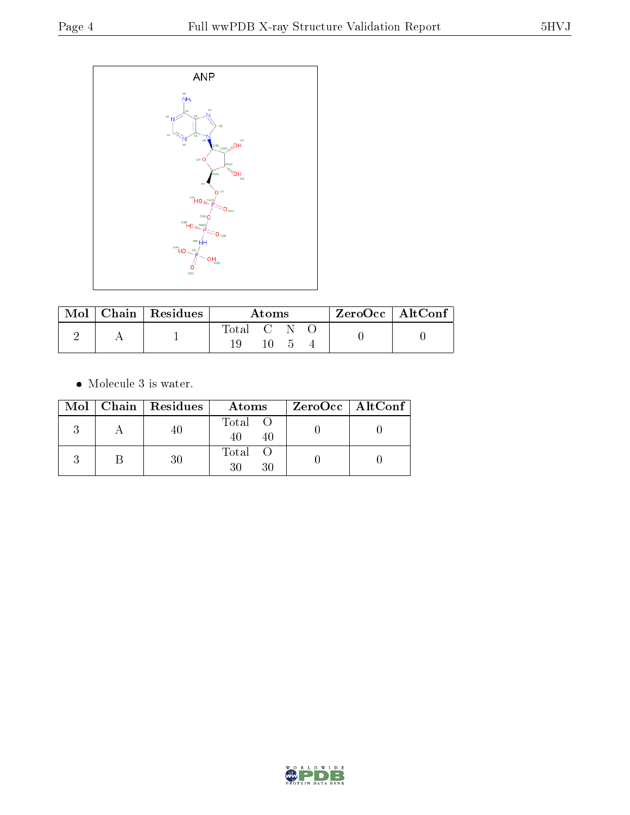

|  | $\parallel$ Mol $\parallel$ Chain $\parallel$ Residues $\parallel$ | Atoms     |     |  |  | ZeroOcc   AltConf |
|--|--------------------------------------------------------------------|-----------|-----|--|--|-------------------|
|  |                                                                    | Total C N |     |  |  |                   |
|  |                                                                    |           | 10. |  |  |                   |

 $\bullet\,$  Molecule 3 is water.

|  | Mol   Chain   Residues | Atoms               | $ZeroOcc \   \$ AltConf |
|--|------------------------|---------------------|-------------------------|
|  |                        | Total O<br>40<br>40 |                         |
|  |                        | Total<br>30<br>30   |                         |

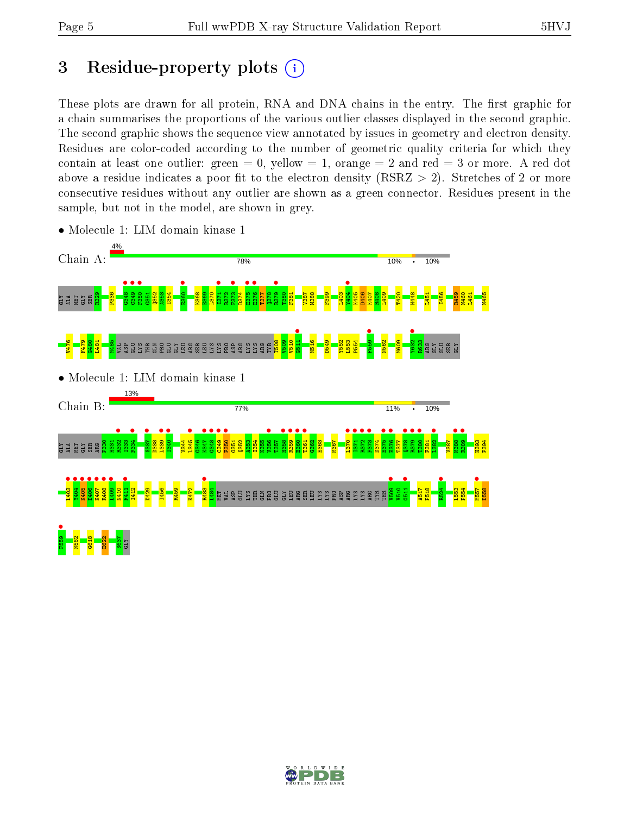# 3 Residue-property plots  $(i)$

These plots are drawn for all protein, RNA and DNA chains in the entry. The first graphic for a chain summarises the proportions of the various outlier classes displayed in the second graphic. The second graphic shows the sequence view annotated by issues in geometry and electron density. Residues are color-coded according to the number of geometric quality criteria for which they contain at least one outlier: green  $= 0$ , yellow  $= 1$ , orange  $= 2$  and red  $= 3$  or more. A red dot above a residue indicates a poor fit to the electron density (RSRZ  $> 2$ ). Stretches of 2 or more consecutive residues without any outlier are shown as a green connector. Residues present in the sample, but not in the model, are shown in grey.



• Molecule 1: LIM domain kinase 1

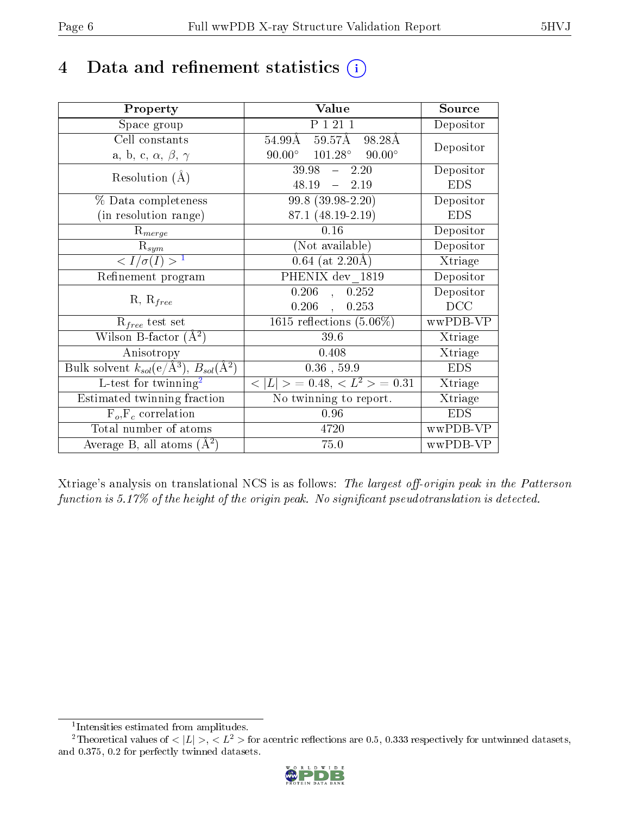# 4 Data and refinement statistics  $(i)$

| Property                                                         | Value                                                    | Source     |
|------------------------------------------------------------------|----------------------------------------------------------|------------|
| Space group                                                      | P 1 21 1                                                 | Depositor  |
| Cell constants                                                   | $54.99\text{\AA}$ $\overline{59.57\text{\AA}}$<br>98.28Å | Depositor  |
| a, b, c, $\alpha$ , $\beta$ , $\gamma$                           | $90.00^{\circ}$ $101.28^{\circ}$ $90.00^{\circ}$         |            |
| Resolution $(A)$                                                 | $39.98 - 2.20$                                           | Depositor  |
|                                                                  | $48.19 - 2.19$                                           | <b>EDS</b> |
| $\%$ Data completeness                                           | 99.8 (39.98-2.20)                                        | Depositor  |
| (in resolution range)                                            | 87.1 (48.19-2.19)                                        | <b>EDS</b> |
| $R_{merge}$                                                      | 0.16                                                     | Depositor  |
| $\mathrm{R}_{sym}$                                               | (Not available)                                          | Depositor  |
| $\langle I/\sigma(I) \rangle^{-1}$                               | $0.64$ (at 2.20Å)                                        | Xtriage    |
| Refinement program                                               | PHENIX dev 1819                                          | Depositor  |
|                                                                  | 0.206<br>0.252<br>$\frac{1}{2}$                          | Depositor  |
| $R, R_{free}$                                                    | $0.206$ ,<br>0.253                                       | DCC        |
| $R_{free}$ test set                                              | 1615 reflections $(5.06\%)$                              | wwPDB-VP   |
| Wilson B-factor $(A^2)$                                          | 39.6                                                     | Xtriage    |
| Anisotropy                                                       | 0.408                                                    | Xtriage    |
| Bulk solvent $k_{sol}(\text{e}/\text{A}^3), B_{sol}(\text{A}^2)$ | $0.36$ , 59.9                                            | <b>EDS</b> |
| L-test for $\mathrm{twinning}^2$                                 | $< L >$ = 0.48, $< L2 >$ = 0.31                          | Xtriage    |
| Estimated twinning fraction                                      | No twinning to report.                                   | Xtriage    |
| $\overline{F_o}, \overline{F_c}$ correlation                     | 0.96                                                     | <b>EDS</b> |
| Total number of atoms                                            | 4720                                                     | wwPDB-VP   |
| Average B, all atoms $(A^2)$                                     | 75.0                                                     | wwPDB-VP   |

Xtriage's analysis on translational NCS is as follows: The largest off-origin peak in the Patterson function is  $5.17\%$  of the height of the origin peak. No significant pseudotranslation is detected.

<sup>&</sup>lt;sup>2</sup>Theoretical values of  $\langle |L| \rangle$ ,  $\langle L^2 \rangle$  for acentric reflections are 0.5, 0.333 respectively for untwinned datasets, and 0.375, 0.2 for perfectly twinned datasets.



<span id="page-5-1"></span><span id="page-5-0"></span><sup>1</sup> Intensities estimated from amplitudes.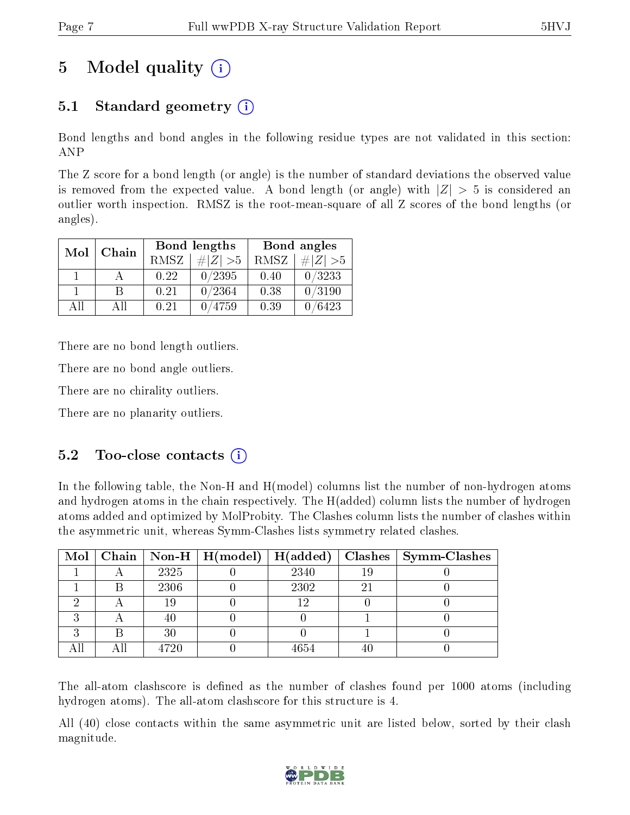# 5 Model quality  $(i)$

# 5.1 Standard geometry  $(i)$

Bond lengths and bond angles in the following residue types are not validated in this section: ANP

The Z score for a bond length (or angle) is the number of standard deviations the observed value is removed from the expected value. A bond length (or angle) with  $|Z| > 5$  is considered an outlier worth inspection. RMSZ is the root-mean-square of all Z scores of the bond lengths (or angles).

|              |    |             | Bond lengths | Bond angles |             |  |
|--------------|----|-------------|--------------|-------------|-------------|--|
| Chain<br>Mol |    | <b>RMSZ</b> | $\# Z  > 5$  | RMSZ        | $\ Z\  > 5$ |  |
|              |    | 0.22        | 0/2395       | 0.40        | 0/3233      |  |
|              | R  | 0.21        | 0/2364       | 0.38        | 0/3190      |  |
| All          | АH | 0.21        | 4759         | 0.39        | /6423       |  |

There are no bond length outliers.

There are no bond angle outliers.

There are no chirality outliers.

There are no planarity outliers.

### $5.2$  Too-close contacts  $(i)$

In the following table, the Non-H and H(model) columns list the number of non-hydrogen atoms and hydrogen atoms in the chain respectively. The H(added) column lists the number of hydrogen atoms added and optimized by MolProbity. The Clashes column lists the number of clashes within the asymmetric unit, whereas Symm-Clashes lists symmetry related clashes.

|   |      |      |    | Mol   Chain   Non-H   H(model)   H(added)   Clashes   Symm-Clashes |
|---|------|------|----|--------------------------------------------------------------------|
|   | 2325 | 2340 | 19 |                                                                    |
|   | 2306 | 2302 | 2  |                                                                    |
|   | 19   | 1 ດ  |    |                                                                    |
|   |      |      |    |                                                                    |
| ົ | 30   |      |    |                                                                    |
|   | 4720 | 4654 |    |                                                                    |

The all-atom clashscore is defined as the number of clashes found per 1000 atoms (including hydrogen atoms). The all-atom clashscore for this structure is 4.

All (40) close contacts within the same asymmetric unit are listed below, sorted by their clash magnitude.

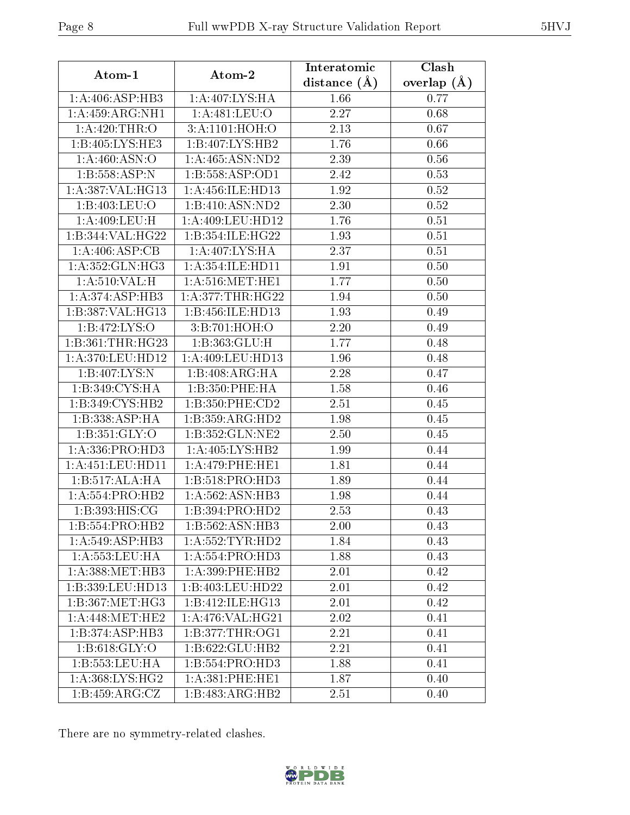| Atom-1                            | Atom-2                              | Interatomic    | Clash         |  |
|-----------------------------------|-------------------------------------|----------------|---------------|--|
|                                   |                                     | distance $(A)$ | overlap $(A)$ |  |
| 1:A:406:ASP:HB3                   | 1:A:407:LYS:HA                      | 1.66           | 0.77          |  |
| 1:A:459:ARG:NH1                   | 1: A:481:LEU:O                      | 2.27           | 0.68          |  |
| $1:A:420:\overline{\text{THR:O}}$ | 3:A:1101:HOH:O                      | 2.13           | 0.67          |  |
| 1:B:405:LYS:HE3                   | 1:B:407:LYS:HB2                     | 1.76           | 0.66          |  |
| 1: A:460: ASN:O                   | 1: A:465: ASN:ND2                   | 2.39           | 0.56          |  |
| 1:B:558:ASP:N                     | 1:B:558:ASP:OD1                     | 2.42           | 0.53          |  |
| 1: A: 387: VAL:HG13               | 1:A:456:ILE:HD13                    | 1.92           | 0.52          |  |
| 1:B:403:LEU:O                     | $1:B:410:\overline{\text{ASN:ND2}}$ | 2.30           | 0.52          |  |
| 1: A:409: LEU:H                   | 1: A:409: LEU:HD12                  | 1.76           | 0.51          |  |
| 1:B:344:VAL:HG22                  | 1:B:354:ILE:HG22                    | 1.93           | 0.51          |  |
| 1:A:406:ASP:CB                    | 1:A:407:LYS:HA                      | 2.37           | 0.51          |  |
| 1: A:352: GLN: HG3                | 1:A:354:ILE:HD11                    | 1.91           | 0.50          |  |
| 1: A:510: VAL:H                   | 1: A:516: MET:HE1                   | 1.77           | $0.50\,$      |  |
| 1:A:374:ASP:HB3                   | 1: A:377:THR:HG22                   | 1.94           | 0.50          |  |
| 1:B:387:VAL:HG13                  | 1:B:456:ILE:HD13                    | 1.93           | 0.49          |  |
| 1:B:472:LYS:O                     | 3:B:701:HOH:O                       | 2.20           | 0.49          |  |
| 1:B:361:THR:HG23                  | 1:B:363:GLU:H                       | 1.77           | 0.48          |  |
| 1:A:370:LEU:HD12                  | 1:A:409:LEU:HD13                    | 1.96           | 0.48          |  |
| 1:B:407:LYS:N                     | 1:B:408:ARG:HA                      | 2.28           | 0.47          |  |
| 1:B:349:CYS:HA                    | 1:B:350:PHE:HA                      | 1.58           | 0.46          |  |
| 1:B:349:CYS:HB2                   | 1:B:350:PHE:CD2                     | 2.51           | 0.45          |  |
| 1:B:338:ASP:HA                    | 1:B:359:ARG:HD2                     | 1.98           | 0.45          |  |
| 1: B: 351: GLY:O                  | 1:B:352:GLN:NE2                     | 2.50           | 0.45          |  |
| 1: A: 336: PRO: HD3               | 1: A:405: LYS: HB2                  | 1.99           | 0.44          |  |
| 1:A:451:LEU:HD11                  | 1:A:479:PHE:HE1                     | 1.81           | 0.44          |  |
| 1:B:517:ALA:HA                    | 1:B:518:PRO:HD3                     | 1.89           | 0.44          |  |
| 1:A:554:PRO:HB2                   | 1: A:562: ASN:HB3                   | 1.98           | 0.44          |  |
| 1: B: 393: HIS: CG                | 1:B:394:PRO:HD2                     | 2.53           | 0.43          |  |
| 1:B:554:PRO:HB2                   | 1:B:562:ASN:HB3                     | 2.00           | 0.43          |  |
| 1:A:549:ASP:HB3                   | 1: A: 552: TYR: HD2                 | 1.84           | 0.43          |  |
| 1:A:553:LEU:HA                    | 1:A:554:PRO:HD3                     | 1.88           | 0.43          |  |
| 1: A: 388: MET: HB3               | $1: A:399:$ PHE:HB2                 | 2.01           | 0.42          |  |
| 1:B:339:LEU:HD13                  | 1:B:403:LEU:HD22                    | 2.01           | 0.42          |  |
| 1:B:367:MET:HG3                   | 1:B:412:ILE:HG13                    | 2.01           | 0.42          |  |
| 1: A:448:MET:HE2                  | 1:A:476:VAL:HG21                    | 2.02           | 0.41          |  |
| 1:B:374:ASP:HB3                   | 1: B:377:THR:OG1                    | 2.21           | 0.41          |  |
| 1: B:618: GLY:O                   | 1:B:622:GLU:HB2                     | 2.21           | 0.41          |  |
| 1:B:553:LEU:HA                    | 1:B:554:PRO:H <sub>D3</sub>         | 1.88           | 0.41          |  |
| $1: A:368: LYS:HG2$               | 1: A:381:PHE:HE1                    | 1.87           | 0.40          |  |
| 1: B: 459: ARG: CZ                | 1:B:483:ARG:HB2                     | 2.51           | 0.40          |  |

There are no symmetry-related clashes.

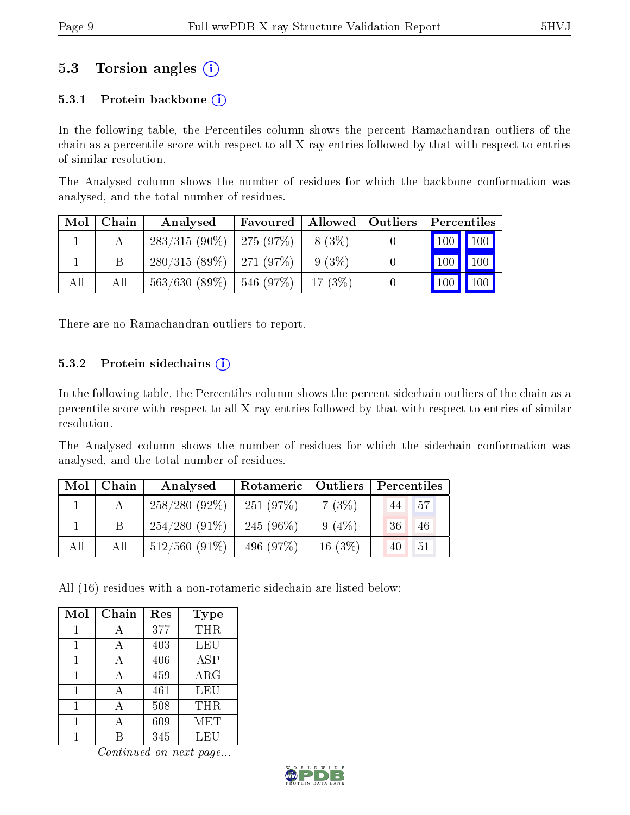## 5.3 Torsion angles (i)

#### 5.3.1 Protein backbone  $(i)$

In the following table, the Percentiles column shows the percent Ramachandran outliers of the chain as a percentile score with respect to all X-ray entries followed by that with respect to entries of similar resolution.

The Analysed column shows the number of residues for which the backbone conformation was analysed, and the total number of residues.

| Mol | Chain | Analysed                       | Favoured | Allowed | $\vert$ Outliers | Percentiles                 |                    |
|-----|-------|--------------------------------|----------|---------|------------------|-----------------------------|--------------------|
|     |       | $283/315(90\%)$   275 $(97\%)$ |          | 8 (3\%) |                  | $\boxed{100}$ $\boxed{100}$ |                    |
|     |       | $280/315(89\%)$   271 (97\%)   |          | 9 (3\%) |                  | $\vert$ 100 $\vert$         | 100                |
| All | All   | $563/630$ (89\%)   546 (97\%)  |          | 17(3%)  | $\cup$           | $\vert$ 100 $\vert$         | $\blacksquare$ 100 |

There are no Ramachandran outliers to report.

#### 5.3.2 Protein sidechains  $(i)$

In the following table, the Percentiles column shows the percent sidechain outliers of the chain as a percentile score with respect to all X-ray entries followed by that with respect to entries of similar resolution.

The Analysed column shows the number of residues for which the sidechain conformation was analysed, and the total number of residues.

| Mol | Chain | Analysed         | Rotameric   Outliers |           | Percentiles |
|-----|-------|------------------|----------------------|-----------|-------------|
|     |       | $258/280(92\%)$  | 251(97%)             | $7(3\%)$  | $-57$<br>44 |
|     |       | $254/280(91\%)$  | 245 $(96\%)$         | $9(4\%)$  | 36<br>46    |
| All | All   | $512/560$ (91\%) | 496 (97\%)           | 16 $(3%)$ | 51<br>40    |

All (16) residues with a non-rotameric sidechain are listed below:

| Mol | Chain | Res | Type       |
|-----|-------|-----|------------|
| 1   | А     | 377 | THR        |
| 1   | А     | 403 | <b>LEU</b> |
| 1   | А     | 406 | <b>ASP</b> |
| 1   |       | 459 | ARG        |
|     |       | 461 | LEU        |
|     |       | 508 | THR        |
|     |       | 609 | MET        |
|     |       | 345 | LEU        |

Continued on next page...

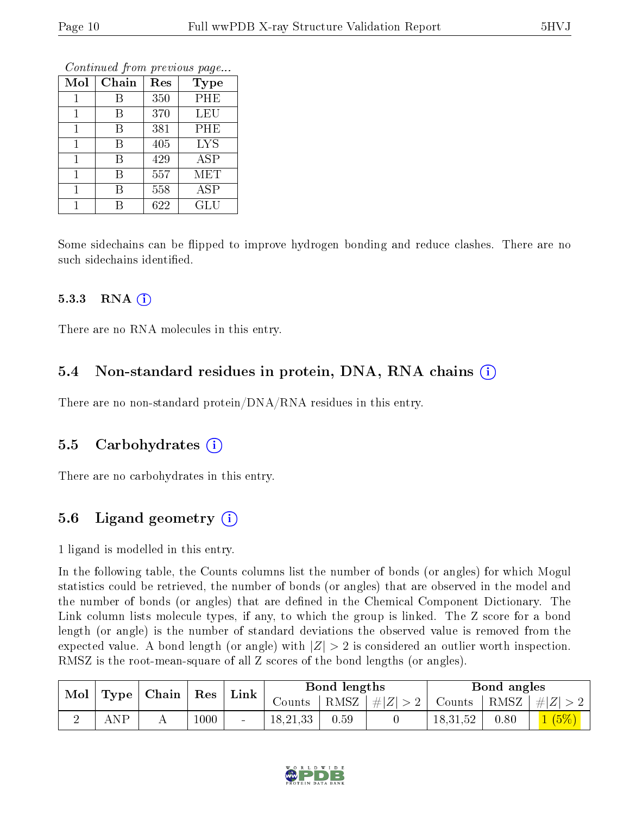|              |       |     | Conning and the procedure page |
|--------------|-------|-----|--------------------------------|
| Mol          | Chain | Res | <b>Type</b>                    |
|              | В     | 350 | PHE                            |
| $\mathbf{1}$ | В     | 370 | LEU                            |
| 1            | В     | 381 | PHE                            |
| 1            | В     | 405 | <b>LYS</b>                     |
| 1            | В     | 429 | <b>ASP</b>                     |
| 1            | В     | 557 | <b>MET</b>                     |
| 1            | В     | 558 | <b>ASP</b>                     |
|              |       | 622 | GLU                            |

Continued from previous page...

Some sidechains can be flipped to improve hydrogen bonding and reduce clashes. There are no such sidechains identified.

#### 5.3.3 RNA (1)

There are no RNA molecules in this entry.

### 5.4 Non-standard residues in protein, DNA, RNA chains (i)

There are no non-standard protein/DNA/RNA residues in this entry.

#### 5.5 Carbohydrates (i)

There are no carbohydrates in this entry.

### 5.6 Ligand geometry (i)

1 ligand is modelled in this entry.

In the following table, the Counts columns list the number of bonds (or angles) for which Mogul statistics could be retrieved, the number of bonds (or angles) that are observed in the model and the number of bonds (or angles) that are dened in the Chemical Component Dictionary. The Link column lists molecule types, if any, to which the group is linked. The Z score for a bond length (or angle) is the number of standard deviations the observed value is removed from the expected value. A bond length (or angle) with  $|Z| > 2$  is considered an outlier worth inspection. RMSZ is the root-mean-square of all Z scores of the bond lengths (or angles).

| Mol<br>Type |                                   |  |          |                 |          |                       |  |          |                                 |              |  | $\vert$ Link $\vert$ |  | Bond lengths |  |  | Bond angles |  |
|-------------|-----------------------------------|--|----------|-----------------|----------|-----------------------|--|----------|---------------------------------|--------------|--|----------------------|--|--------------|--|--|-------------|--|
|             | $\vert$ Chain $\vert$ Res $\vert$ |  |          | ∪ounts –        |          | $ RMSZ  \#  Z  > 2  $ |  |          | Counts   RMSZ $\mid \#  Z  > 2$ |              |  |                      |  |              |  |  |             |  |
|             | ΔNΡ                               |  | $1000\,$ | $\qquad \qquad$ | 18,21,33 | 0.59                  |  | 18,31,52 | 0.80                            | $\sqrt{5\%}$ |  |                      |  |              |  |  |             |  |

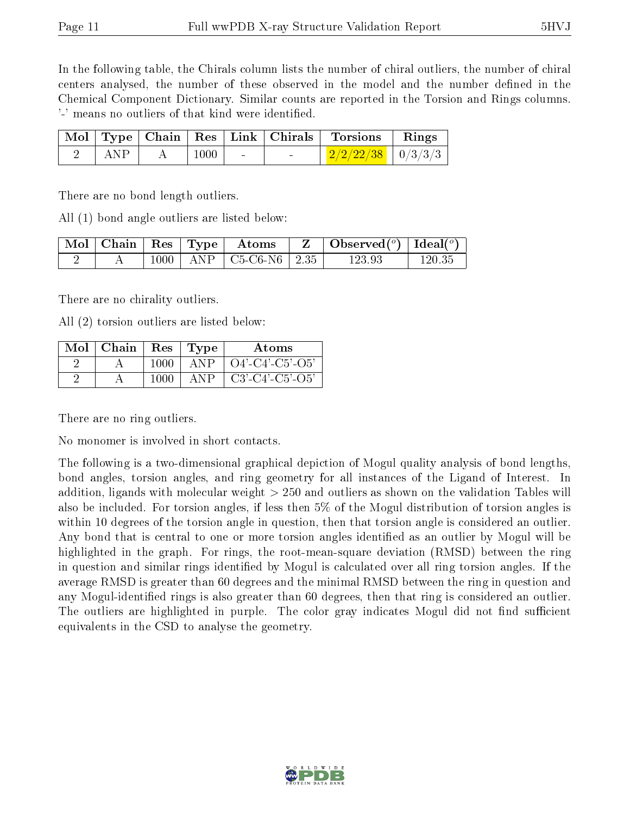In the following table, the Chirals column lists the number of chiral outliers, the number of chiral centers analysed, the number of these observed in the model and the number defined in the Chemical Component Dictionary. Similar counts are reported in the Torsion and Rings columns. '-' means no outliers of that kind were identified.

|     |      |                          |        | Mol   Type   Chain   Res   Link   Chirals   Torsions   Rings |  |
|-----|------|--------------------------|--------|--------------------------------------------------------------|--|
| ANP | 1000 | <b>Contract Contract</b> | $\sim$ | $2/2/22/38$   0/3/3/3                                        |  |

There are no bond length outliers.

All (1) bond angle outliers are listed below:

|  |  | $\sqrt{\text{Mol}}$ Chain Res $\sqrt{\text{Type}}$ Atoms | $\vert$ Observed $(^\circ)\vert$ Ideal $(^\circ)$ |        |
|--|--|----------------------------------------------------------|---------------------------------------------------|--------|
|  |  | $1000$   ANP   C5-C6-N6   2.35 $^{\circ}$                | 123.93                                            | 120.35 |

There are no chirality outliers.

All (2) torsion outliers are listed below:

| Mol | Chain | <b>Res</b> | 'Type       | Atoms             |
|-----|-------|------------|-------------|-------------------|
|     |       | 1000       | ANP         | $O4'-C4'-C5'-O5'$ |
|     |       | 1000       | $\Delta NP$ | $C3'-C4'-C5'-O5'$ |

There are no ring outliers.

No monomer is involved in short contacts.

The following is a two-dimensional graphical depiction of Mogul quality analysis of bond lengths, bond angles, torsion angles, and ring geometry for all instances of the Ligand of Interest. In addition, ligands with molecular weight > 250 and outliers as shown on the validation Tables will also be included. For torsion angles, if less then 5% of the Mogul distribution of torsion angles is within 10 degrees of the torsion angle in question, then that torsion angle is considered an outlier. Any bond that is central to one or more torsion angles identified as an outlier by Mogul will be highlighted in the graph. For rings, the root-mean-square deviation (RMSD) between the ring in question and similar rings identified by Mogul is calculated over all ring torsion angles. If the average RMSD is greater than 60 degrees and the minimal RMSD between the ring in question and any Mogul-identified rings is also greater than 60 degrees, then that ring is considered an outlier. The outliers are highlighted in purple. The color gray indicates Mogul did not find sufficient equivalents in the CSD to analyse the geometry.

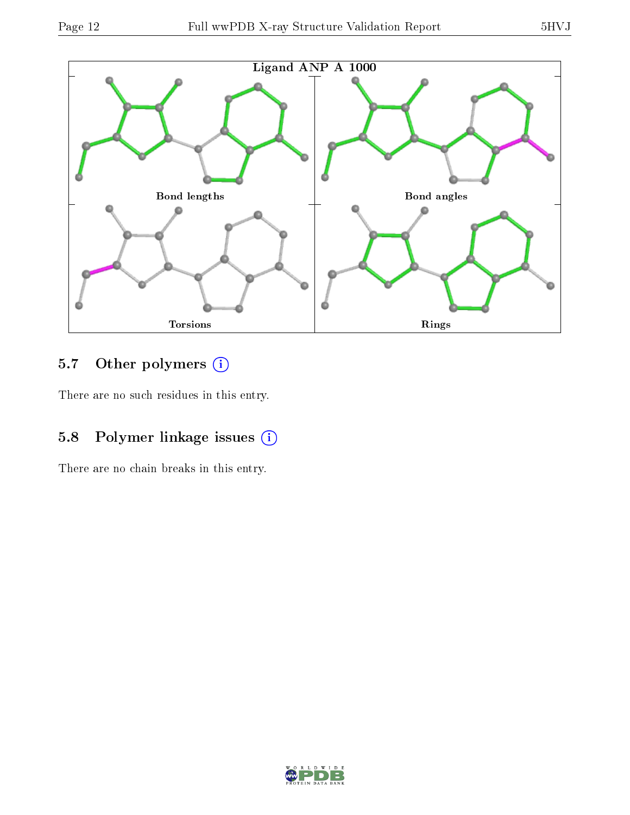

## 5.7 [O](https://www.wwpdb.org/validation/2017/XrayValidationReportHelp#nonstandard_residues_and_ligands)ther polymers (i)

There are no such residues in this entry.

## 5.8 Polymer linkage issues (i)

There are no chain breaks in this entry.

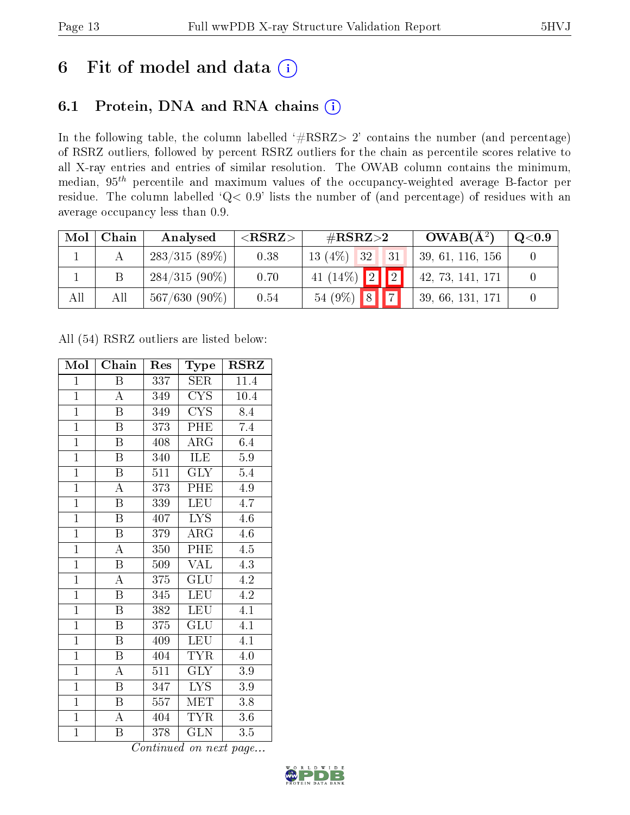# 6 Fit of model and data  $(i)$

# 6.1 Protein, DNA and RNA chains  $(i)$

In the following table, the column labelled  $#RSRZ> 2'$  contains the number (and percentage) of RSRZ outliers, followed by percent RSRZ outliers for the chain as percentile scores relative to all X-ray entries and entries of similar resolution. The OWAB column contains the minimum, median,  $95<sup>th</sup>$  percentile and maximum values of the occupancy-weighted average B-factor per residue. The column labelled ' $Q< 0.9$ ' lists the number of (and percentage) of residues with an average occupancy less than 0.9.

| Mol | Chain | Analysed        | ${ <\hspace{-1.5pt}{\mathrm{RSRZ}} \hspace{-1.5pt}>}$ | $\#\text{RSRZ}\text{>2}$ | $OWAB(A^2)$      | $\rm Q\textcolor{black}{<}0.9$ |
|-----|-------|-----------------|-------------------------------------------------------|--------------------------|------------------|--------------------------------|
|     |       | $283/315(89\%)$ | 0.38                                                  | $13(4\%)$ 32<br>31       | 39, 61, 116, 156 |                                |
|     |       | $284/315(90\%)$ | 0.70                                                  | $41 (14\%)$ 2 2          | 42, 73, 141, 171 |                                |
| All | All   | $567/630(90\%)$ | 0.54                                                  | $54(9\%)$ 8              | 39, 66, 131, 171 |                                |

All (54) RSRZ outliers are listed below:

| Mol            | Chain                   | Res | <b>Type</b>               | <b>RSRZ</b>      |
|----------------|-------------------------|-----|---------------------------|------------------|
| $\mathbf{1}$   | B                       | 337 | <b>SER</b>                | 11.4             |
| $\mathbf{1}$   | $\overline{\rm A}$      | 349 | <b>CYS</b>                | 10.4             |
| $\overline{1}$ | $\boldsymbol{B}$        | 349 | $\overline{\text{CYS}}$   | 8.4              |
| $\overline{1}$ | $\boldsymbol{B}$        | 373 | PHE                       | 7.4              |
| $\overline{1}$ | $\overline{\mathrm{B}}$ | 408 | $\rm{ARG}$                | 6.4              |
| $\overline{1}$ | $\overline{B}$          | 340 | ILE                       | $\overline{5.9}$ |
| $\overline{1}$ | $\boldsymbol{B}$        | 511 | <b>GLY</b>                | 5.4              |
| $\overline{1}$ | $\overline{\rm A}$      | 373 | PHE                       | 4.9              |
| $\overline{1}$ | $\overline{\mathrm{B}}$ | 339 | <b>LEU</b>                | 4.7              |
| $\overline{1}$ | $\overline{\mathrm{B}}$ | 407 | $\overline{\text{LYS}}$   | 4.6              |
| $\overline{1}$ | $\overline{\mathbf{B}}$ | 379 | $\rm{ARG}$                | 4.6              |
| $\overline{1}$ | $\overline{\rm A}$      | 350 | PHE                       | $\overline{4.5}$ |
| $\overline{1}$ | $\overline{B}$          | 509 | $\overline{\text{VAL}}$   | 4.3              |
| $\overline{1}$ | $\overline{\rm A}$      | 375 | $\overline{\text{GLU}}$   | 4.2              |
| $\overline{1}$ | $\overline{\mathrm{B}}$ | 345 | <b>LEU</b>                | $\overline{4.2}$ |
| $\mathbf{1}$   | $\overline{B}$          | 382 | <b>LEU</b>                | $\overline{4.1}$ |
| $\overline{1}$ | $\overline{\mathrm{B}}$ | 375 | $\overline{\mathrm{GLU}}$ | $\overline{4.1}$ |
| $\mathbf{1}$   | Β                       | 409 | <b>LEU</b>                | 4.1              |
| $\overline{1}$ | $\boldsymbol{B}$        | 404 | <b>TYR</b>                | 4.0              |
| $\overline{1}$ | $\overline{\rm A}$      | 511 | $\overline{\text{GLY}}$   | $3.9\,$          |
| $\mathbf{1}$   | $\overline{B}$          | 347 | <b>LYS</b>                | 3.9              |
| $\mathbf{1}$   | $\boldsymbol{B}$        | 557 | <b>MET</b>                | 3.8              |
| $\overline{1}$ | $\boldsymbol{A}$        | 404 | <b>TYR</b>                | $3.6\,$          |
| $\mathbf{1}$   | Β                       | 378 | <b>GLN</b>                | 3.5              |

Continued on next page...

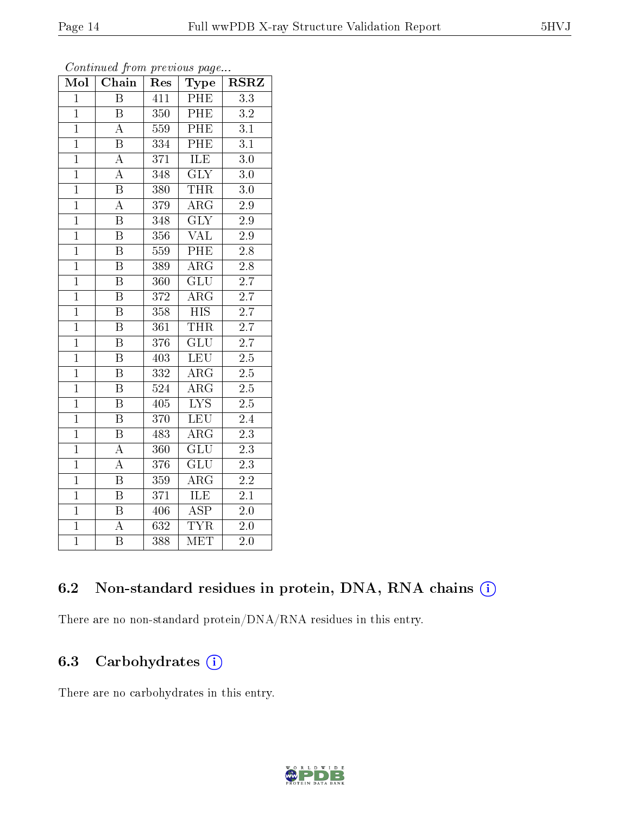| Mol            | Chain                   | Res     | Type                      | $_{\rm RSRZ}$    |
|----------------|-------------------------|---------|---------------------------|------------------|
| $\mathbf{1}$   | B                       | 411     | $\overline{\rm PHE}$      | 3.3              |
| $\overline{1}$ | $\overline{\mathrm{B}}$ | 350     | PHE                       | $3.2\,$          |
| $\overline{1}$ | $\overline{\rm A}$      | 559     | PHE                       | $\overline{3.1}$ |
| $\mathbf{1}$   | $\overline{\mathrm{B}}$ | 334     | PHE                       | $\overline{3.1}$ |
| $\overline{1}$ | $\overline{\rm A}$      | 371     | ILE                       | $\overline{3}.0$ |
| $\mathbf{1}$   | $\boldsymbol{A}$        | 348     | $\overline{\text{GLY}}$   | $3.0\,$          |
| $\overline{1}$ | $\overline{B}$          | 380     | <b>THR</b>                | 3.0              |
| $\overline{1}$ | $\overline{\rm A}$      | 379     | $\overline{\text{ARG}}$   | $\overline{2.9}$ |
| $\overline{1}$ | $\overline{\mathrm{B}}$ | 348     | $\overline{\text{GLY}}$   | $\overline{2.9}$ |
| $\overline{1}$ | $\overline{\mathrm{B}}$ | 356     | $\overline{\text{VAL}}$   | 2.9              |
| $\mathbf{1}$   | $\overline{\mathrm{B}}$ | 559     | $\overline{\rm PHE}$      | 2.8              |
| $\overline{1}$ | $\overline{\mathrm{B}}$ | 389     | $\overline{\rm{ARG}}$     | $\overline{2.8}$ |
| $\mathbf{1}$   | $\overline{B}$          | 360     | GLU                       | 2.7              |
| $\mathbf{1}$   | B                       | 372     | $\rm{ARG}$                | 2.7              |
| $\overline{1}$ | $\overline{\mathrm{B}}$ | $3\,58$ | $\overline{\mathrm{HIS}}$ | 2.7              |
| $\overline{1}$ | $\overline{\mathrm{B}}$ | 361     | <b>THR</b>                | $\overline{2.7}$ |
| $\overline{1}$ | $\overline{\mathrm{B}}$ | 376     | $\overline{{\rm GLU}}$    | 2.7              |
| $\overline{1}$ | $\overline{B}$          | 403     | <b>LEU</b>                | $\overline{2.5}$ |
| $\overline{1}$ | $\overline{\mathrm{B}}$ | 332     | $\rm{ARG}$                | $2.5\,$          |
| $\mathbf{1}$   | $\overline{\mathbf{B}}$ | 524     | $\rm{ARG}$                | 2.5              |
| $\overline{1}$ | $\overline{\mathrm{B}}$ | 405     | $\overline{\text{LYS}}$   | $\overline{2.5}$ |
| $\overline{1}$ | $\overline{\mathrm{B}}$ | 370     | LEU                       | 2.4              |
| $\overline{1}$ | $\overline{\mathrm{B}}$ | 483     | $AR\overline{G}$          | $\overline{2.3}$ |
| $\overline{1}$ | $\overline{\rm A}$      | 360     | $\overline{\mathrm{GLU}}$ | 2.3              |
| $\overline{1}$ | $\overline{\rm A}$      | 376     | GLU                       | 2.3              |
| $\mathbf{1}$   | $\overline{\mathrm{B}}$ | 359     | $\rm{ARG}$                | $2.2\,$          |
| $\mathbf{1}$   | $\overline{\mathrm{B}}$ | 371     | <b>ILE</b>                | 2.1              |
| $\mathbf{1}$   | $\overline{\mathrm{B}}$ | 406     | <b>ASP</b>                | $2.0\,$          |
| $\mathbf{1}$   | $\overline{A}$          | 632     | <b>TYR</b>                | $2.0\,$          |
| $\overline{1}$ | $\overline{\mathrm{B}}$ | 388     | MET                       | 2.0              |

#### Continued from previous page...

### 6.2 Non-standard residues in protein, DNA, RNA chains (i)

There are no non-standard protein/DNA/RNA residues in this entry.

## 6.3 Carbohydrates (i)

There are no carbohydrates in this entry.